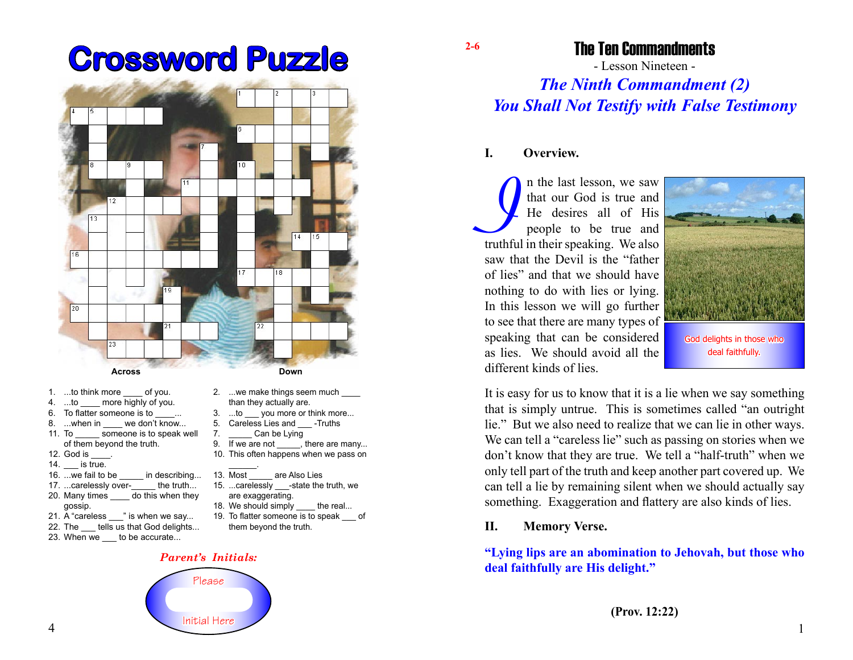# **Crossword Puzzle 2-6**



- 1. ...to think more of you.
- 4. ...to more highly of you.
- 6. To flatter someone is to
- 8. ...when in we don't know... 11. To someone is to speak well of them beyond the truth.
- 12. God is
- 14. \_\_\_ is true.
- 16. ... we fail to be in describing...
- 17. ...carelessly over- the truth...
- 20. Many times \_\_\_\_ do this when they gossip.
- 21. A "careless " is when we say...
- 22. The tells us that God delights...
- 23. When we to be accurate...
- 2. ...we make things seem much than they actually are.
- 3. ...to \_\_\_ you more or think more...
- 5. Careless Lies and -Truths
- 7. Can be Lying
- 9. If we are not \_\_\_\_\_, there are many... 10. This often happens when we pass on
- \_\_\_\_\_\_.
- 13. Most are Also Lies
- 15. ...carelessly -state the truth, we are exaggerating.
- 18. We should simply the real...
- 19. To flatter someone is to speak \_\_\_ of them beyond the truth.

#### *Parent's Initials:*



The Ten Commandments

- Lesson Nineteen -

## *The Ninth Commandment (2) You Shall Not Testify with False Testimony*

#### **I. Overview.**

In the last lesson, we saw that our God is true and He desires all of His people to be true and truthful in their speaking. We also n the last lesson, we saw that our God is true and He desires all of His people to be true and saw that the Devil is the "father of lies" and that we should have nothing to do with lies or lying. In this lesson we will go further to see that there are many types of speaking that can be considered as lies. We should avoid all the different kinds of lies.



It is easy for us to know that it is a lie when we say something that is simply untrue. This is sometimes called "an outright lie." But we also need to realize that we can lie in other ways. We can tell a "careless lie" such as passing on stories when we don't know that they are true. We tell a "half-truth" when we only tell part of the truth and keep another part covered up. We can tell a lie by remaining silent when we should actually say something. Exaggeration and flattery are also kinds of lies.

#### **II. Memory Verse.**

### **"Lying lips are an abomination to Jehovah, but those who deal faithfully are His delight."**

**(Prov. 12:22)**